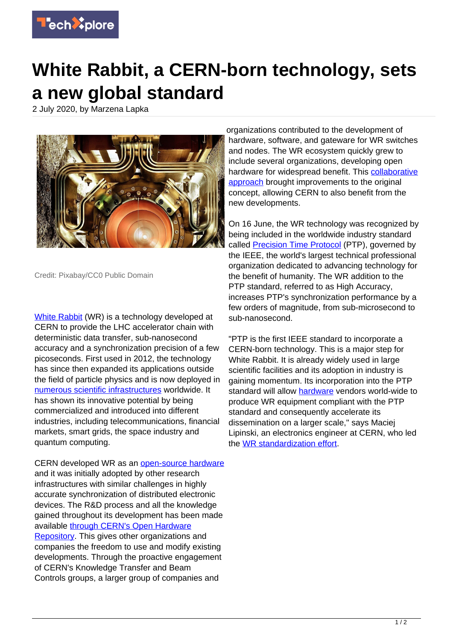

## **White Rabbit, a CERN-born technology, sets a new global standard**

2 July 2020, by Marzena Lapka



Credit: Pixabay/CC0 Public Domain

[White Rabbit](https://cern.ch/white-rabbit) (WR) is a technology developed at CERN to provide the LHC accelerator chain with deterministic data transfer, sub-nanosecond accuracy and a synchronization precision of a few picoseconds. First used in 2012, the technology has since then expanded its applications outside the field of particle physics and is now deployed in [numerous scientific infrastructures](https://www.ohwr.org/project/white-rabbit/wikis/WRUsers) worldwide. It has shown its innovative potential by being commercialized and introduced into different industries, including telecommunications, financial markets, smart grids, the space industry and quantum computing.

CERN developed WR as an [open-source hardware](https://techxplore.com/tags/open-source+hardware/) and it was initially adopted by other research infrastructures with similar challenges in highly accurate synchronization of distributed electronic devices. The R&D process and all the knowledge gained throughout its development has been made available [through CERN's Open Hardware](https://ohwr.org/project/white-rabbit/wikis/home) [Repository.](https://ohwr.org/project/white-rabbit/wikis/home) This gives other organizations and companies the freedom to use and modify existing developments. Through the proactive engagement of CERN's Knowledge Transfer and Beam Controls groups, a larger group of companies and

organizations contributed to the development of hardware, software, and gateware for WR switches and nodes. The WR ecosystem quickly grew to include several organizations, developing open hardware for widespread benefit. This [collaborative](https://techxplore.com/tags/collaborative+approach/) [approach](https://techxplore.com/tags/collaborative+approach/) brought improvements to the original concept, allowing CERN to also benefit from the new developments.

On 16 June, the WR technology was recognized by being included in the worldwide industry standard called [Precision Time Protocol](https://standards.ieee.org/standard/1588-2019.html) (PTP), governed by the IEEE, the world's largest technical professional organization dedicated to advancing technology for the benefit of humanity. The WR addition to the PTP standard, referred to as High Accuracy, increases PTP's synchronization performance by a few orders of magnitude, from sub-microsecond to sub-nanosecond.

"PTP is the first IEEE standard to incorporate a CERN-born technology. This is a major step for White Rabbit. It is already widely used in large scientific facilities and its adoption in industry is gaining momentum. Its incorporation into the PTP standard will allow [hardware](https://techxplore.com/tags/hardware/) vendors world-wide to produce WR equipment compliant with the PTP standard and consequently accelerate its dissemination on a larger scale," says Maciej Lipinski, an electronics engineer at CERN, who led the [WR standardization effort.](https://ohwr.org/project/wr-std/wikis/home)